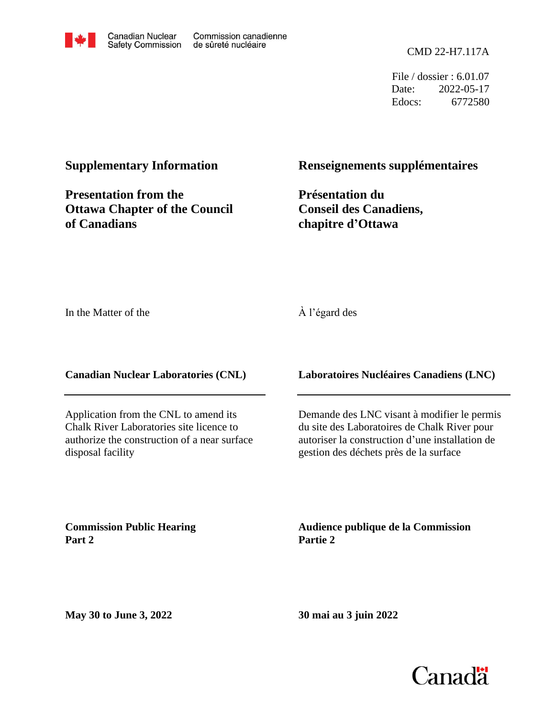

File / dossier : 6.01.07 Date: 2022-05-17 Edocs: 6772580

### **Supplementary Information**

**Presentation from the Ottawa Chapter of the Council of Canadians**

### **Renseignements supplémentaires**

**Présentation du Conseil des Canadiens, chapitre d'Ottawa**

In the Matter of the

#### À l'égard des

**Canadian Nuclear Laboratories (CNL)**

Application from the CNL to amend its Chalk River Laboratories site licence to authorize the construction of a near surface disposal facility

### **Laboratoires Nucléaires Canadiens (LNC)**

Demande des LNC visant à modifier le permis du site des Laboratoires de Chalk River pour autoriser la construction d'une installation de gestion des déchets près de la surface

**Commission Public Hearing Part 2**

**Audience publique de la Commission Partie 2**

**May 30 to June 3, 2022**

**30 mai au 3 juin 2022**

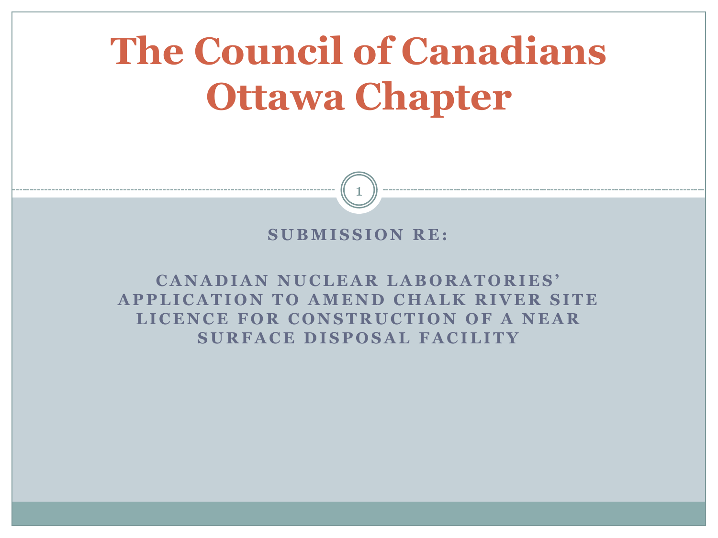# **The Council of Canadians Ottawa Chapter**

### **SUBMISSION RE:**

1

**C A N A D I A N N U C L E A R L A B O R A T O R I E S ' APPLICATION TO AMEND CHALK RIVER SITE** LICENCE FOR CONSTRUCTION OF A NEAR **S U R F A C E D I S P O S A L F A C I L I T Y**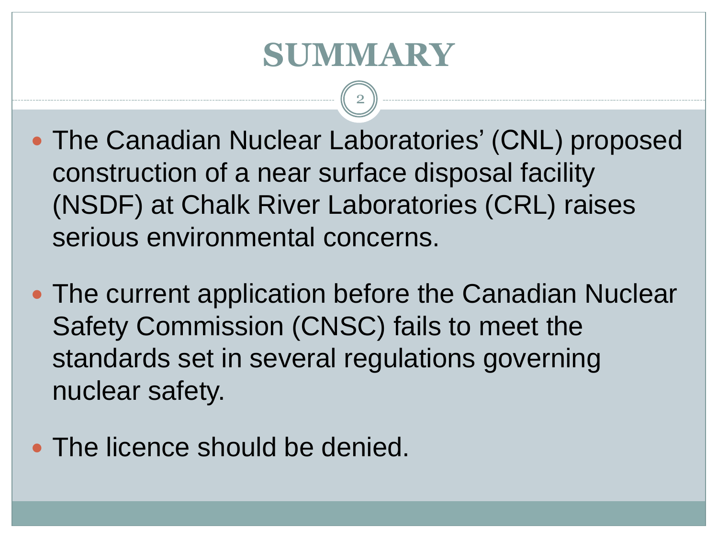## **SUMMARY**

- The Canadian Nuclear Laboratories' (CNL) proposed construction of a near surface disposal facility (NSDF) at Chalk River Laboratories (CRL) raises serious environmental concerns.
- The current application before the Canadian Nuclear Safety Commission (CNSC) fails to meet the standards set in several regulations governing nuclear safety.
- The licence should be denied.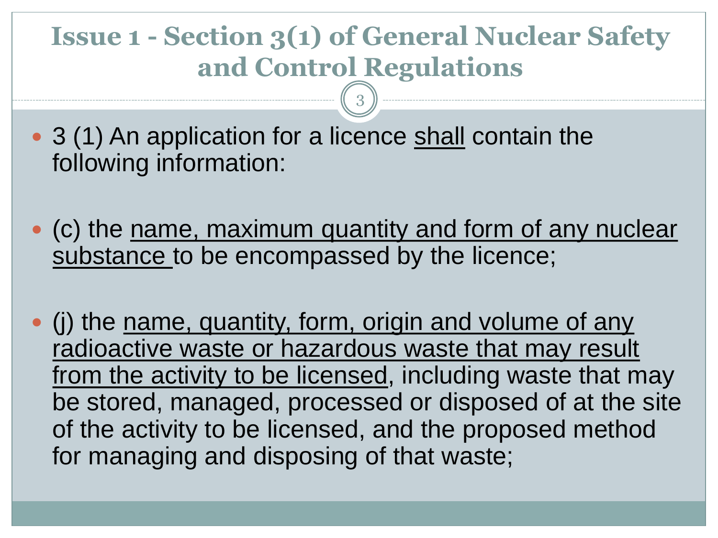## **Issue 1 - Section 3(1) of General Nuclear Safety and Control Regulations**

- 3 (1) An application for a licence shall contain the following information:
- (c) the name, maximum quantity and form of any nuclear substance to be encompassed by the licence;
- (j) the name, quantity, form, origin and volume of any radioactive waste or hazardous waste that may result from the activity to be licensed, including waste that may be stored, managed, processed or disposed of at the site of the activity to be licensed, and the proposed method for managing and disposing of that waste;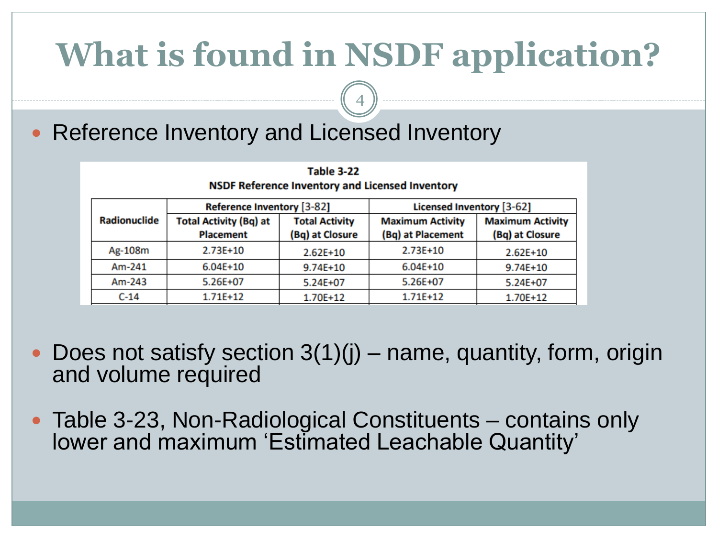# **What is found in NSDF application?**

4

### • Reference Inventory and Licensed Inventory

| Table 3-22<br><b>NSDF Reference Inventory and Licensed Inventory</b> |                                                   |                                          |                                              |                                            |
|----------------------------------------------------------------------|---------------------------------------------------|------------------------------------------|----------------------------------------------|--------------------------------------------|
|                                                                      | <b>Reference Inventory [3-82]</b>                 |                                          | Licensed Inventory [3-62]                    |                                            |
| Radionuclide                                                         | <b>Total Activity (Bq) at</b><br><b>Placement</b> | <b>Total Activity</b><br>(Bq) at Closure | <b>Maximum Activity</b><br>(Bq) at Placement | <b>Maximum Activity</b><br>(Bq) at Closure |
| Ag-108m                                                              | $2.73E+10$                                        | $2.62E+10$                               | $2.73E+10$                                   | $2.62E+10$                                 |
| Am-241                                                               | $6.04E + 10$                                      | 9.74E+10                                 | $6.04E+10$                                   | 9.74E+10                                   |
| Am-243                                                               | 5.26E+07                                          | 5.24E+07                                 | 5.26E+07                                     | 5.24E+07                                   |
| $C-14$                                                               | 1.71E+12                                          | 1.70E+12                                 | 1.71E+12                                     | 1.70E+12                                   |

- Does not satisfy section 3(1)(j) name, quantity, form, origin and volume required
- Table 3-23, Non-Radiological Constituents contains only lower and maximum 'Estimated Leachable Quantity'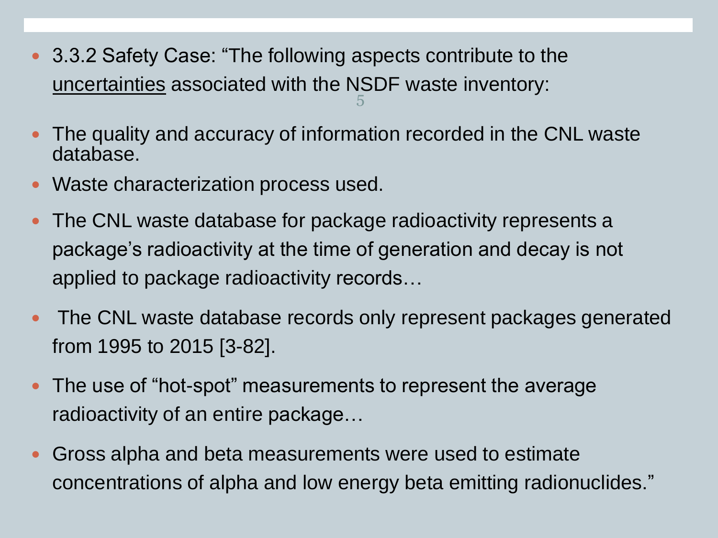- 3.3.2 Safety Case: "The following aspects contribute to the uncertainties associated with the NSDF waste inventory: 5
- The quality and accuracy of information recorded in the CNL waste database.
- Waste characterization process used.
- The CNL waste database for package radioactivity represents a package's radioactivity at the time of generation and decay is not applied to package radioactivity records…
- The CNL waste database records only represent packages generated from 1995 to 2015 [3-82].
- The use of "hot-spot" measurements to represent the average radioactivity of an entire package…
- Gross alpha and beta measurements were used to estimate concentrations of alpha and low energy beta emitting radionuclides."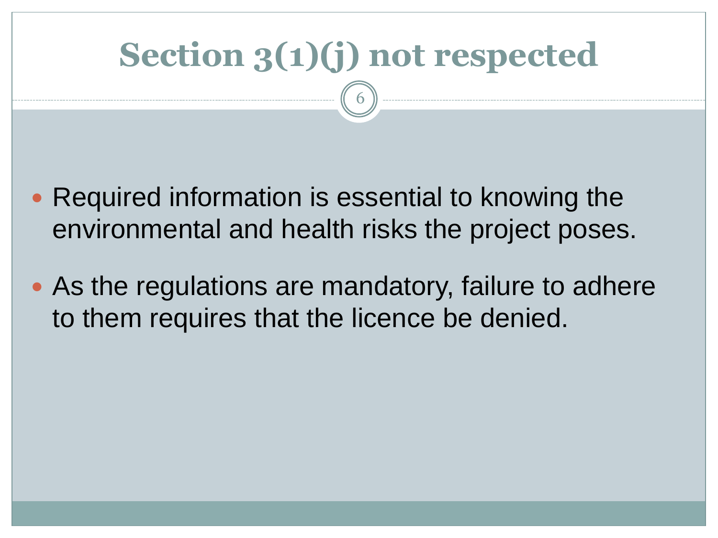# **Section 3(1)(j) not respected**

- Required information is essential to knowing the environmental and health risks the project poses.
- As the regulations are mandatory, failure to adhere to them requires that the licence be denied.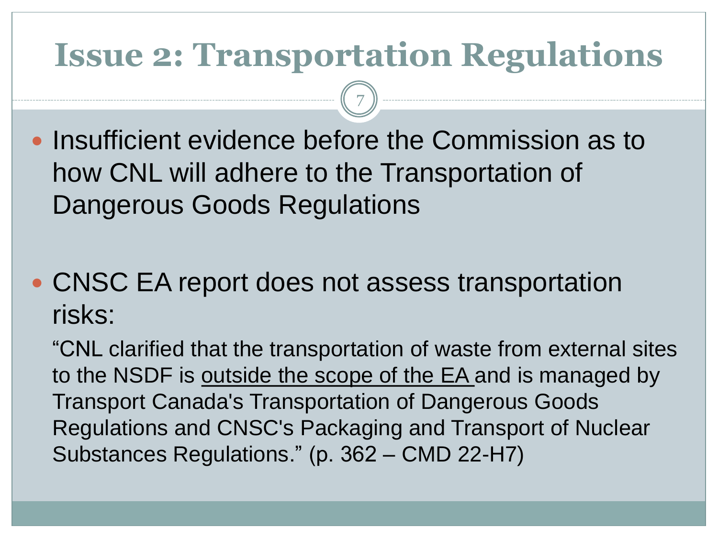## **Issue 2: Transportation Regulations**

7

- Insufficient evidence before the Commission as to how CNL will adhere to the Transportation of Dangerous Goods Regulations
- CNSC EA report does not assess transportation risks:

"CNL clarified that the transportation of waste from external sites to the NSDF is outside the scope of the EA and is managed by Transport Canada's Transportation of Dangerous Goods Regulations and CNSC's Packaging and Transport of Nuclear Substances Regulations." (p. 362 – CMD 22-H7)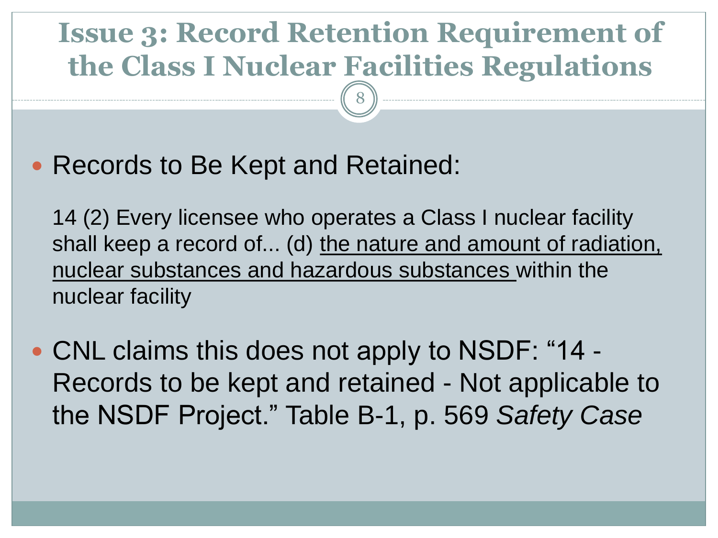## **Issue 3: Record Retention Requirement of the Class I Nuclear Facilities Regulations**

8

• Records to Be Kept and Retained:

14 (2) Every licensee who operates a Class I nuclear facility shall keep a record of... (d) the nature and amount of radiation, nuclear substances and hazardous substances within the nuclear facility

• CNL claims this does not apply to NSDF: "14 -Records to be kept and retained - Not applicable to the NSDF Project." Table B-1, p. 569 *Safety Case*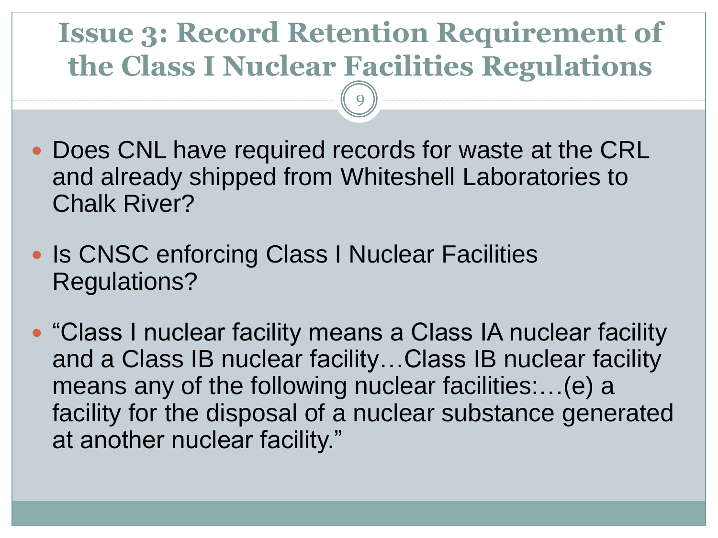## **Issue 3: Record Retention Requirement of the Class I Nuclear Facilities Regulations**

- Does CNL have required records for waste at the CRL and already shipped from Whiteshell Laboratories to Chalk River?
- Is CNSC enforcing Class I Nuclear Facilities Regulations?
- "Class I nuclear facility means a Class IA nuclear facility and a Class IB nuclear facility…Class IB nuclear facility means any of the following nuclear facilities:…(e) a facility for the disposal of a nuclear substance generated at another nuclear facility."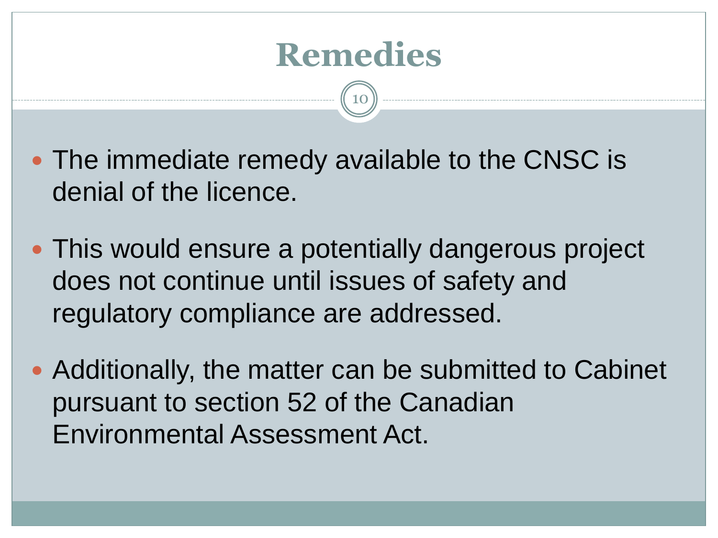

- The immediate remedy available to the CNSC is denial of the licence.
- This would ensure a potentially dangerous project does not continue until issues of safety and regulatory compliance are addressed.
- Additionally, the matter can be submitted to Cabinet pursuant to section 52 of the Canadian Environmental Assessment Act.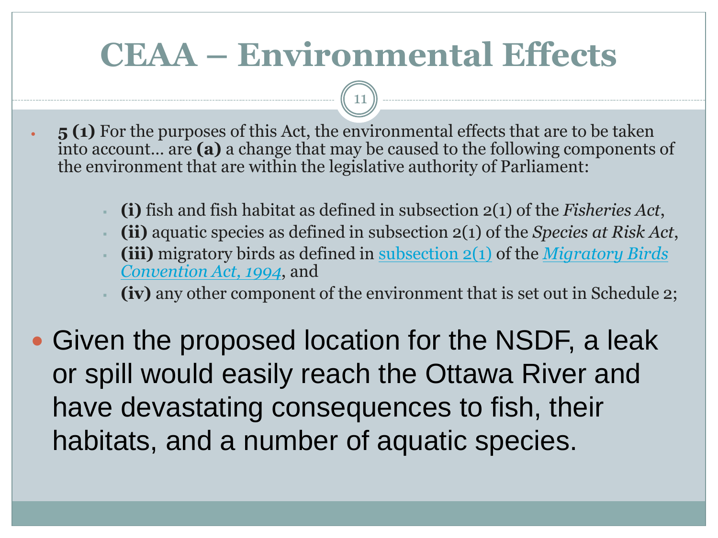# **CEAA – Environmental Effects**

- **5 (1)** For the purposes of this Act, the environmental effects that are to be taken into account… are **(a)** a change that may be caused to the following components of the environment that are within the legislative authority of Parliament:
	- **(i)** fish and fish habitat as defined in subsection 2(1) of the *Fisheries Act*,
	- **(ii)** aquatic species as defined in subsection 2(1) of the *Species at Risk Act*,
	- **(iii)** [migratory birds as defined in](https://www.canlii.org/en/ca/laws/stat/sc-1994-c-22/latest/sc-1994-c-22.html) <u>[subsection 2\(1\)](https://www.canlii.org/en/ca/laws/stat/sc-1994-c-22/latest/sc-1994-c-22.html#sec2subsec1_smooth)</u> of the *Migratory Birds Convention Act, 1994*, and
	- **(iv)** any other component of the environment that is set out in Schedule 2;
- Given the proposed location for the NSDF, a leak or spill would easily reach the Ottawa River and have devastating consequences to fish, their habitats, and a number of aquatic species.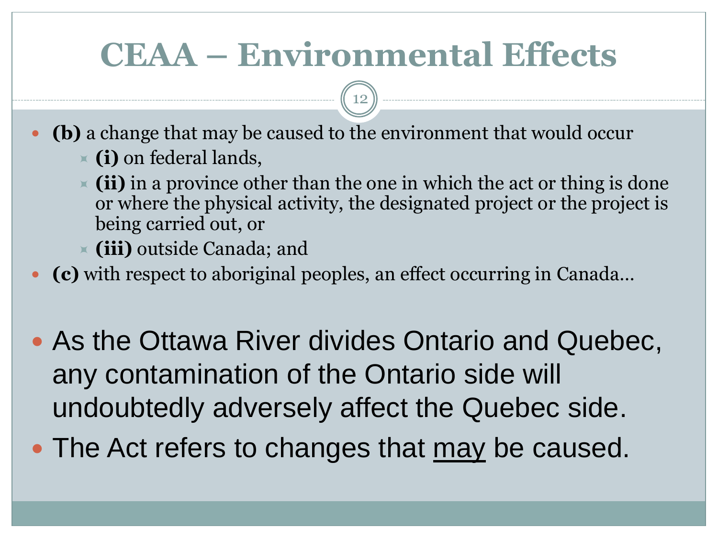# **CEAA – Environmental Effects**

- **(b)** a change that may be caused to the environment that would occur **(i)** on federal lands,
	- **(ii)** in a province other than the one in which the act or thing is done or where the physical activity, the designated project or the project is being carried out, or
	- **(iii)** outside Canada; and
- **(c)** with respect to aboriginal peoples, an effect occurring in Canada…
- As the Ottawa River divides Ontario and Quebec, any contamination of the Ontario side will undoubtedly adversely affect the Quebec side.
- The Act refers to changes that may be caused.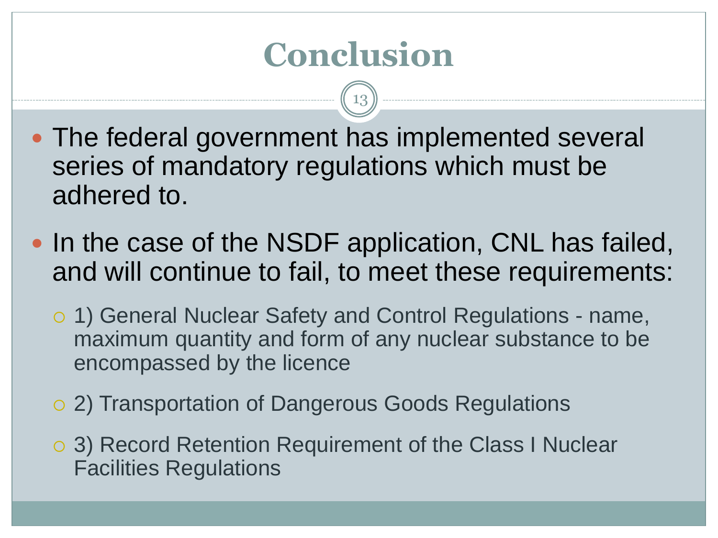# **Conclusion**

- The federal government has implemented several series of mandatory regulations which must be adhered to.
- In the case of the NSDF application, CNL has failed, and will continue to fail, to meet these requirements:
	- 1) General Nuclear Safety and Control Regulations name, maximum quantity and form of any nuclear substance to be encompassed by the licence
	- 2) Transportation of Dangerous Goods Regulations
	- 3) Record Retention Requirement of the Class I Nuclear Facilities Regulations